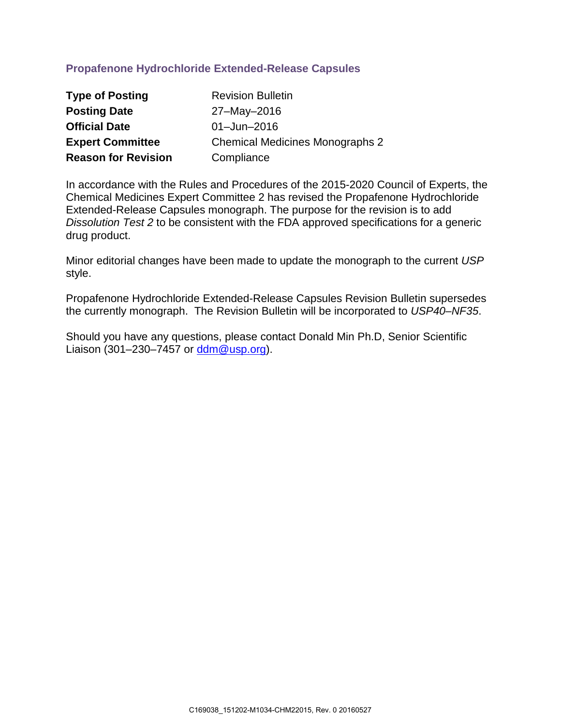# **Propafenone Hydrochloride Extended-Release Capsules**

| <b>Type of Posting</b>     | <b>Revision Bulletin</b>               |
|----------------------------|----------------------------------------|
| <b>Posting Date</b>        | 27-May-2016                            |
| <b>Official Date</b>       | $01 -$ Jun $-2016$                     |
| <b>Expert Committee</b>    | <b>Chemical Medicines Monographs 2</b> |
| <b>Reason for Revision</b> | Compliance                             |

In accordance with the Rules and Procedures of the 2015-2020 Council of Experts, the Chemical Medicines Expert Committee 2 has revised the Propafenone Hydrochloride Extended-Release Capsules monograph. The purpose for the revision is to add *Dissolution Test 2* to be consistent with the FDA approved specifications for a generic drug product.

Minor editorial changes have been made to update the monograph to the current *USP* style.

Propafenone Hydrochloride Extended-Release Capsules Revision Bulletin supersedes the currently monograph. The Revision Bulletin will be incorporated to *USP40–NF35*.

Should you have any questions, please contact Donald Min Ph.D, Senior Scientific Liaison (301–230–7457 or [ddm@usp.org\)](mailto:ddm@usp.org).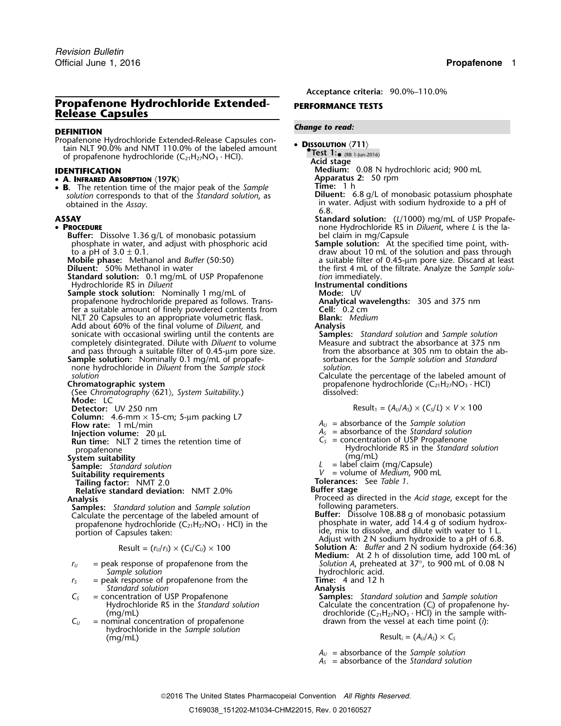## **Propafenone Hydrochloride Extended-** PERFORMANCE TESTS **Release Capsules**

Propafenone Hydrochloride Extended-Release Capsules con- • **<sup>D</sup>ISSOLUTION** 〈**711**〉 tain NLT 90.0% and NMT 110.0% of the labeled amount **•**of propafenone hydrochloride (C<sub>21</sub>H<sub>27</sub>NO<sub>3</sub> · HCl). **Acid stage Acid stage** 

• **<sup>A</sup>. INFRARED ABSORPTION** 〈**197K**〉 **Apparatus 2:** 50 rpm

• B. **B**. The retention time of the major peak of the *Sample* **B.** Time: 1 h<br>Interpretation time of the major peak of the *Sample* **B. Diluent:** 6.8 g/L of monobasic potassium phosphate *solution* corresponds to that of the *Standard solution*, as obtained in the *Assay*.

### • PROCEDURE

**Buffer:** Dissolve 1.36 g/L of monobasic potassium<br>
phosphate in water, and adjust with phosphoric acid<br> **Sample solution:** At the specified time point, withphosphate in water, and adjust with phosphoric acid to a pH of  $3.0 \pm 0.1$ .<br> **Mobile phase:** Methanol and *Buffer* (50:50)<br> **Diluent:** 50% Methanol in water

- **Standard solution:** 0.1 mg/mL of USP Propafenone *tion* immediately.<br>Hydrochloride RS in *Diluent* **example instrumental conditions** Hydrochloride RS in *Diluent*<br> **Instrumental condition:** Nominally 1 mg/mL of **Instrumental conditions**
- **Sample stock solution:** Nominally 1 mg/mL of **Mode:** UV<br>
propafenone hydrochloride prepared as follows. Trans-**Analytical wavelengths:** 305 and 375 nm propafenone hydrochloride prepared as follows. Trans-<br>
fer a suitable amount of finely powdered contents from **Cell:** 0.2 cm<br>
NLT 20 Capsules to an appropriate volumetric flask. **Blank:** Medium fer a suitable amount of finely powdered contents from NLT 20 Capsules to an appropriate volumetric flask. **Blank: Blank: Blank: Analysis Analysis** Add about 60% of the final volume of *Diluent*, and **Analysis**<br> **Analysis Samples:** Standard solution and Samples and Samples: Standard solution and Sample solution sonicate with occasional swirling until the contents are **Samples:** *Standard solution* and *Sample solution* completely disintegrated. Dilute with *Diluent* to volume Measure and subtract the absorbance at 375 nm<br>and pass through a suitable filter of 0.45-µm pore size. The mome the absorbance at 305 nm to obtain the aband pass through a suitable filter of 0.45- $\mu$ m pore size. **Sample solution:** Nominally 0.1 mg/mL of propafe-<br>none hydrochloride in *Diluent* from the *Sample stock* solution. none hydrochloride in *Diluent* from the *Sample stock solution*.
- 
- 
- (See *Chromatography* 〈621〉*, System Suitability*.) dissolved: **Mode:** LC
- 
- **Detector:** UV 250 nm

**Column:**  $4.6\text{-mm} \times 15\text{-cm}$ ;  $5\text{-µm}$  packing L7 Flow rate:  $1 \text{ mL/min}$ 

**Run time:** NLT 2 times the retention time of

- **System suitability**<br> **Sample:** Standard solution
- 
- 

**The Suitability requirements**<br> **Tailing factor:** NMT 2.0<br> **Tailing factor:** NMT 2.0 metal and are **Table 1**.<br> **Relative standard deviation:** NMT 2.0%<br> **Buffer stage Relative standard deviation:** NMT 2.0%

**Samples:** *Standard solution* and *Sample solution* Calculate the percentage of the labeled amount of Calculate the percentage of the labeled amount of **Buffer:** Dissolve 108.88 g of monobasic potassium propafenone hydrochloride (C<sub>21</sub>H<sub>27</sub>NO<sub>3</sub> · HCl) in the  $\hskip1cm$  phosphate in water, add 14.4 g of sodium hydroxpropafenone hydrochloride  $(C_{21}H_{27}NO_3 \cdot HCl)$  in the phosphate in water, add 14.4 g of sodium hydro:<br>portion of Capsules taken: ide, mix to dissolve, and dilute with water to 1 L.

$$
Result = (r_U/r_S) \times (C_S/C_U) \times 100
$$

- *Sample solution*<br>
eak response of propafenone from the **hydrochloric acid.**<br> **Fime:** 4 and 12 h
- *<sup>r</sup><sup>S</sup>* = peak response of propafenone from the **Time:** 4 and 12 h **Standard solution**<br>**= concentration of USP Propafenone**
- *C<sup>S</sup>* = concentration of USP Propafenone **Samples:** *Standard solution* and *Sample solution*
- $C_V$  = nominal concentration of propafenone drawn from the vessel at each time point (*i*): hydrochloride in the *Sample solution*

*.* **Acceptance criteria:** 90.0%–110.0%

## *Change to read:* **DEFINITION**

- - **.Test 1:**•
		-
- **IDENTIFICATION**<br>• **A. INFRARED ABSORPTION** (197K) **MEDITION** Apparatus 2: 50 rpm
	-
	- in water. Adjust with sodium hydroxide to a pH of 6.8.
- **ASSAY Standard solution:** (*L*/1000) mg/mL of USP Propafe- **P** none Hydrochloride RS in *Diluent*, where *L* is the label claim in mg/Capsule
	- draw about 10 mL of the solution and pass through a suitable filter of 0.45-µm pore size. Discard at least the first 4 mL of the filtrate. Analyze the *Sample solution* immediately.
	-

*solution*<br> **Calculate the percentage of the labeled amount of**<br> **Chromatographic system**<br> **Chromatographic system** propafenone hydrochloride (C<sub>21</sub>H<sub>27</sub>NO<sub>3</sub> · HCl)

$$
Result_1 = (A_U/A_S) \times (C_S/L) \times V \times 100
$$

- $A_U$  = absorbance of the *Sample solution*
- 
- **Injection volume:** 20 µL *A<sub>S</sub>* = absorbance of the *Standard solution*<br> **Run time:** NIT 2 times the retention time of *C<sub>S</sub>* = concentration of USP Propafenone propafenone<br>
propafenone<br>
stem suitability<br>
stem suitability<br>
(mg/mL)
	-
- **Sample:** *Standard solution <sup>L</sup>* = label claim (mg/Capsule)
- **Suitability requirements** *<sup>V</sup>* = volume of *Medium*, <sup>900</sup> mL

- **Analysis** Proceed as directed in the *Acid stage*, except for the
- Adjust with 2 N sodium hydroxide to a pH of 6.8. Solution A: *Buffer* and 2 N sodium hydroxide (64:36) **Medium:** At 2 h of dissolution time, add 100 mL of *<sup>r</sup><sup>U</sup>* = peak response of propafenone from the *Solution A*, preheated at 37°, to 900 mL of 0.08 N
	-

Hydrochloride RS in the *Standard solution* Calculate the concentration (C<sub>i</sub>) of propafenone hy-(mg/mL) drochloride (C<sub>21</sub>H<sub>27</sub>NO<sub>3</sub> · HCl) in the sample with-

## $Result_i = (A_U/A_S) \times C_S$

*A<sup>U</sup>* = absorbance of the *Sample solution*

*A<sup>S</sup>* = absorbance of the *Standard solution*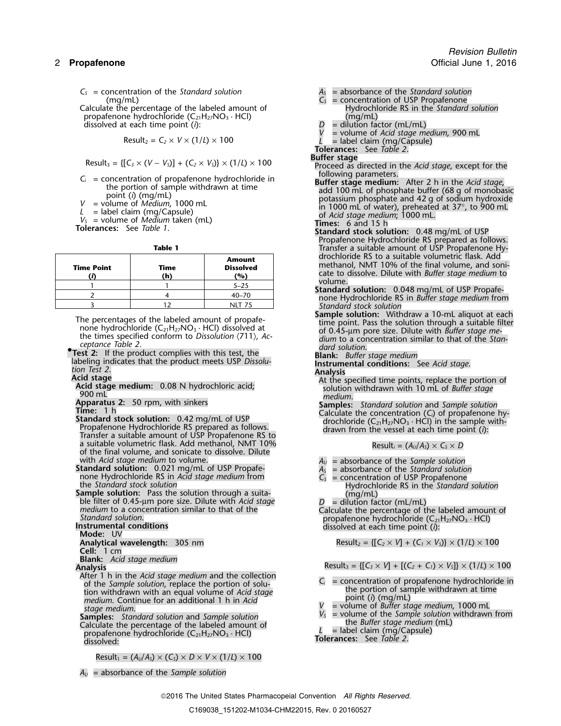Calculate the percentage of the labeled amount of  $Hydroch$ <br>propafenone hydrochloride  $(C_{21}H_{27}NO_3 \cdot HCl)$  (mq/mL) propafenone hydrochloride  $(C_{21}H_{27}NO_3 \cdot HCl)$  (mg/mL)<br>dissolved at each time point (i):  $D =$  dilution factor (mL/mL) dissolved at each time point (*i*): *D* = dilution factor (mL/mL)

$$
Result_2 = C_2 \times V \times (1/L) \times 100
$$

The percentages of the labeled amount of propafe-<br>none hydrochloride ( $C_{21}H_{27}NO_3 \cdot HCl$ ) dissolved at<br>the times specified conform to *Dissolution*  $\langle 711 \rangle$ , Ac-<br>ceptance Table 2.<br>ceptance Table 2.

*ceprance Table 2. dard solution.*<br>**• Figure 7.** *dard solution.* **• 1 Figure 7.** *dard solution.* **• 1 Figure 7.** *dargery 1. <b>Elank: Buffer* 

- 
- 

a suitable volumetric flask. Add methanol, NMT 10% of the final volume, and sonicate to dissolve. Dilute with Acid stage medium to volume.

- with *Acid stage medium* to volume.<br> **Standard solution:** 0.021 mg/mL of USP Propafe-<br> **A**<sub>S</sub> = absorbance of the *Standard solution*<br>
none Hydrochloride RS in *Acid stage medium* from<br>  $C_S$  = concentration of USP Propafen
- **Sample solution:** Pass the solution through a suita-<br>
ble filter of 0.45-µm pore size. Dilute with *Acid stage*<br>
medium to a concentration similar to that of the<br>
Standard solution.<br>
Standard solution.<br> **Instrumental con**

**Cell:** 1 cm

**Blank:** *Acid stage medium*

After 1 h in the Acid stage medium and the collection<br>
of the *Sample solution*, replace the portion of solu-<br>
tion withdrawn with an equal volume of Acid stage<br>
medium. Continue for an additional 1 h in Acid *medium*. Continue for an additional 1 h in *Acid V* = volume of *Buffer stage medium*, 1000 mL<br> *stage medium*, 1000 mL<br> *stage medium*, 1000 mL<br> *V<sub>S</sub>* = volume of the *Sample solution* withdrawn from

**Samples:** *Standard solution* and *Sample solution V<sub>S</sub>* = volume of the *Sample solution Calculate the perceptage of the labeled amount of the Buffer stage medium* (mL) Calculate the percentage of the labeled amount of **Lackulate the percentage of the labeled amount of L** = label claim (mg/Capsule) propafenone hydrochloride (C<sub>21</sub>H<sub>27</sub>NO<sub>3</sub> · HCl) **Tolerances:** See *Table 2*. **dissolve** 

 $Result_1 = (A_U/A_S) \times (C_S) \times D \times V \times (1/L) \times 100$ 

- 
- (mg/mL)<br>te the percentage of the labeled amount of  $C_s$  = concentration of USP Propafenone<br>Hydrochloride RS in the Standard solution
	-
	-
	- *<sup>V</sup>* = volume of *Acid stage medium*, <sup>900</sup> mL Result<sup>2</sup> <sup>=</sup>*C<sup>2</sup>* <sup>×</sup> *<sup>V</sup>* <sup>×</sup> (1/*L*) ×<sup>100</sup> *<sup>L</sup>* = label claim (mg/Capsule)
	- **Tolerances:** See *Table 2*.

- $\text{Result}_3 = \{ [C_3 \times (V V_3)] + (C_2 \times V_3) \} \times (1/L) \times 100$  Buffer stage<br>
Proceed as directed in the *Acid stage*, except for the following parameters.
- $V =$  concentration of propafenone hydrochloride in<br>
the portion of sample withdrawn at time<br>
point (i) (mg/mL)<br>  $V =$  volume of *Medium*, 1000 mL<br>  $L =$  label claim (mg/Capsule)<br>  $V_s =$  volume of *Medium* taken (mL)<br>  $V_s =$  v

- Propafenone Hydrochloride RS prepared as follows. **Table 1** Transfer a suitable amount of USP Propafenone Hy-
	-
	- Standard stock solution<br> **Sample solution:** Withdraw a 10-mL aliquot at each<br>
	time point. Pass the solution through a suitable filter
	-
	-
	-
- Test 2: If the product complies with this test, the<br>
labeling indicates that the product meets USP Dissolu-<br>
Acid stage<br>
Acid stage<br>
Acid stage medium: 0.08 N hydrochloric acid;<br>
The specified time points, replace the por

$$
Result_i = (A_U/A_S) \times C_S \times D
$$

- 
- none Hydrochloride RS in *Acid stage medium* from *C<sub>S</sub>* = concentration of USP Propafenone the *Standard stock solution*<br> **Sample solution:** Pass the solution through a suita- (mg/mL)
	-

**Analytical wavelength:** 305 nm Result<sub>2</sub> = { $[C_2 \times V] + (C_1 \times V_5)$ } × (1/*L*) × 100

Analysis

\n
$$
\text{Analysis} = \{ [C_3 \times V] + [(C_2 + C_1) \times V_3] \} \times (1/L) \times 100
$$

- 
- 
- 
- 
- 

*A<sup>U</sup>* = absorbance of the *Sample solution*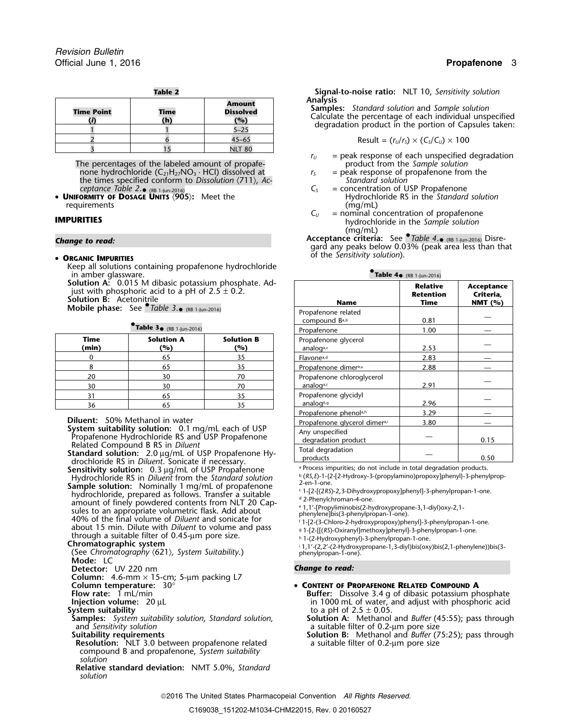| m | л<br>0<br>ı |  |
|---|-------------|--|
|   |             |  |

| <b>Time Point</b> | <b>Time</b><br>(h) | <b>Amount</b><br><b>Dissolved</b><br>(%) | <b>Analysis</b><br><b>Samples:</b> Standard solution and Sample so<br>Calculate the percentage of each individua<br>degradation product in the portion of Car |
|-------------------|--------------------|------------------------------------------|---------------------------------------------------------------------------------------------------------------------------------------------------------------|
|                   |                    | $5 - 25$                                 |                                                                                                                                                               |
|                   |                    | $45 - 65$                                | Result = $(r_U/r_S) \times (C_S/C_U) \times 100$                                                                                                              |
|                   |                    | <b>NLT 80</b>                            |                                                                                                                                                               |

The percentages of the labeled amount of propafe-<br>none hydrochloride  $(C_{21}H_{27}NO_3 \cdot HCl)$  dissolved at  $r_5$  = peak response of propafenone from the none hydrochloride (C<sub>21</sub>H<sub>27</sub>NO<sub>3</sub> · HCl) dissolved at  $r_s$  = peak response of propagation (711), Ac-<br>the times specified conform to Dissolution (711), Ac-<br>Standard solution the times specified conform to *Dissolution*  $\langle 711 \rangle$ *, Ac- Standard Solution*  $\langle 711 \rangle$ *, Ac- Standard Solution* 

requirements  $C_U$  = nominal contains the contact of the contact of the contact of the contact of the contact of the contact of the contact of the contact of the contact of the contact of the contact of the contact of the

**ORGANIC IMPURITIES**

Keep all solutions containing propafenone hydrochloride

in amber glassware.<br>**Solution A**: 0.015 M dibasic potassium phosphate. Ad-

|               | . <i>.</i>               |                          | <b>FIUDATEIJULIE</b>              | 1.VV |  |
|---------------|--------------------------|--------------------------|-----------------------------------|------|--|
| Time<br>(min) | <b>Solution A</b><br>(%) | <b>Solution B</b><br>(%) | Propafenone glycerol<br>analoga,c | 2.53 |  |
|               | 65                       | 35                       | Flavone <sup>a,d</sup>            | 2.83 |  |
|               |                          | 35                       | Propafenone dimera,e              | 2.88 |  |
| 20            | 30                       | 70                       | Propafenone chloroglycerol        |      |  |
| 30            | 30                       | 70                       | analog <sup>a,f</sup>             | 2.91 |  |
|               |                          | 35                       | Propafenone glycidyl              |      |  |
| 36            |                          |                          | analog <sup>a, g</sup>            | 2.96 |  |
|               |                          |                          |                                   |      |  |

Hydrochloride RS in Diluent from the Standard solution<br>
Hydrochloride RS in Diluent from the Standard solution<br>
Sample solution: Nominally 1 mg/mL of propafenone<br>  $\frac{1}{2}$ -en-1-one.<br>
1-[2-[(2RS)-2,3-Dihydroxypropoxy]pheny hydrochloride, prepared as follows. Transfer a suitable  $\frac{1}{2}$ -phenylchroman-4-one.  $\frac{1}{2}$  amount of finely powdered contents from NLT 20 Cap-<br>sules to an appropriate volumetric flack. Add about  $\frac{1}{2}$  1,1'-[Propyliminobis(2-hydroxypropane-3,1-divl)oxy-2,1sules to an appropriate volumetric flask. Add about<br>40% of the final volume of *Diluent* and sonicate for the phenylene]bis(3-phenylpropan-1-one).<br>40% of the final volume of *Diluent* and sonicate for fit-[2-(3-Chloro-2-hy . 1-[2-(3-Chloro-2-hydroxypropoxy)phenyl]-3-phenylpropan-1-one. about 15 min. Dilute with *Diluent* to volume and pass <sup>g</sup>through a suitable filter of 0.45-μm pore size.<br>
Chromatographic system<br>
<sup>11</sup>/2-Hydroxyphenylpropane,13-divlbis(oxynentione)<br>
<sup>11/2</sup>/2-Hydroxyphenylpropane,13-divlbis(oxy . 11.000911 a suitable lifter of 0.45-µ111 pore size.<br>**Chromatographic system** in the state of the state of the system of the system of the system of the system of th

**Mode:** LC

**Detector:** UV 220 nm *Change to read:*

**Column:** 4.6-mm × 15-cm; 5-µm packing L7

and *Sensitivity solution*<br> **a** suitable filter of 0.2-µm pore size and *Solution* B: Methanol and *Buffer* (75:25); pass through

**Resolution:** NLT 3.0 between propafenone related a suitable filter of 0.2-µm pore size compound B and propafenone, *System suitability solution*

**Relative standard deviation:** NMT 5.0%, *Standard solution*

**Table 2 Signal-to-noise ratio:** NLT 10, *Sensitivity solution*

**Samples:** Standard solution and Sample solution<br>Calculate the percentage of each individual unspecified<br>degradation product in the portion of Capsules taken:

$$
Result = (rU/rS) \times (CS/CU) \times 100
$$

- $r_U$  = peak response of each unspecified degradation product from the *Sample solution*
- 
- *ceptance Table 2*. •• **UNIFORMITY OF DOSAGE UNITS** 〈**905**〉**:** Meet the Hydrochloride RS in the *Standard solution* = concentration of USP Propafenone<br>Hydrochloride RS in the Standard solution
- **IMPURITIES IMPURITIES IMPURITIES IMPURITIES** *C<sub>U</sub>* = nominal concentration of propafenone **in** the *Sample solution* (mg/mL)

**Acceptance criteria:** See *• Table 4*... Change to read:<br>gard any peaks below 0.03% (peak area less than that gard any peaks below 0.03% (peak area less than that of the *Sensitivity solution*). •

| Table $4\bullet$ (RB 1-Jun-2016) |  |
|----------------------------------|--|
|----------------------------------|--|

| III UITIDUT GIUSSIVUIU.                                                                                                                                                                                                  |                                       |                          | $\mathbf{u}$                                                        |                                             |                                           |  |
|--------------------------------------------------------------------------------------------------------------------------------------------------------------------------------------------------------------------------|---------------------------------------|--------------------------|---------------------------------------------------------------------|---------------------------------------------|-------------------------------------------|--|
| <b>Solution A:</b> 0.015 M dibasic potassium phosphate. Ad-<br>just with phosphoric acid to a pH of $2.5 \pm 0.2$ .<br><b>Solution B: Acetonitrile</b><br>Mobile phase: See $\bullet$ Table 3. $\bullet$ (RB 1-Jun-2016) |                                       |                          | <b>Name</b>                                                         | <b>Relative</b><br><b>Retention</b><br>Time | Acceptance<br>Criteria,<br><b>NMT</b> (%) |  |
|                                                                                                                                                                                                                          |                                       |                          | Propafenone related<br>compound B <sub>a,b</sub>                    | 0.81                                        |                                           |  |
|                                                                                                                                                                                                                          | Table $3 \cdot (RB \t1-lun-2016)$     |                          | Propafenone                                                         | 1.00                                        |                                           |  |
| Time<br>(min)                                                                                                                                                                                                            | <b>Solution A</b><br>(%)              | <b>Solution B</b><br>(%) | Propafenone glycerol<br>analoga,c                                   | 2.53                                        |                                           |  |
| 0                                                                                                                                                                                                                        | 65                                    | 35                       | Flavone <sup>a,d</sup>                                              | 2.83                                        |                                           |  |
| 8                                                                                                                                                                                                                        | 65                                    | 35                       | Propafenone dimera,e                                                | 2.88                                        |                                           |  |
| 20<br>30                                                                                                                                                                                                                 | 30<br>30                              | 70<br>70                 | Propafenone chloroglycerol<br>analog <sup>a,f</sup>                 | 2.91                                        |                                           |  |
| 31<br>36                                                                                                                                                                                                                 | 65<br>65                              | 35<br>35                 | Propafenone glycidyl<br>analoga,9                                   | 2.96                                        |                                           |  |
|                                                                                                                                                                                                                          |                                       |                          | Propafenone phenola,h                                               | 3.29                                        |                                           |  |
|                                                                                                                                                                                                                          | <b>Diluent:</b> 50% Methanol in water |                          | Propafenone glycerol dimera,i                                       | 3.80                                        |                                           |  |
| System suitability solution: 0.1 mg/mL each of USP<br>Propafenone Hydrochloride RS and USP Propafenone<br>Related Compound B RS in Diluent<br>Standard solution: 2.0 µg/mL of USP Propafenone Hy-                        |                                       |                          | Any unspecified<br>degradation product                              |                                             | 0.15                                      |  |
|                                                                                                                                                                                                                          |                                       |                          | Total degradation<br>products                                       |                                             | 0.50                                      |  |
| drochloride RS in Diluent. Sonicate if necessary.<br><b>Sensitivity solution:</b> 0.3 μg/mL of USP Propafenone                                                                                                           |                                       |                          | a Process impurities; do not include in total degradation products. |                                             |                                           |  |

. 1,1'-(2,2'-(2-Hydroxypropane-1,3-diyl)bis(oxy)bis(2,1-phenylene))bis(3- (See *Chromatography* 〈621〉*, System Suitability*.) <sup>p</sup>henylpropan-1-one).

**Column temperature:**  $30^{\circ}$  **• CONTENT OF PROPAFENONE RELATED COMPOUND A**<br>**Buffer:** Dissolve 3.4 q of dibasic potassium proportional control by Buffer: Dissolve 3.4 q of dibasic potassium pro

**Flow rate:** 1 mL/min **Buffer:** Dissolve 3.4 g of dibasic potassium phosphate **Injection volume:** 20 µL **numerical phosphate** in 1000 mL of water, and adjust with phosphoric acid **Injection volume:** 20 µL **in 1000 mL** of water, and adjust with phosphoric acid<br>System suitability in 1000 mL of 2.5 ± 0.05. **System suitability to a pH** of 2.5  $\pm$  0.05.

**Samples:** *System suitability solution*, *Standard solution,* **Solution A:** Methanol and *Buffer* (45:55); pass through

**Suitability requirements Solution B:** Methanol and *Buffer* (75:25); pass through